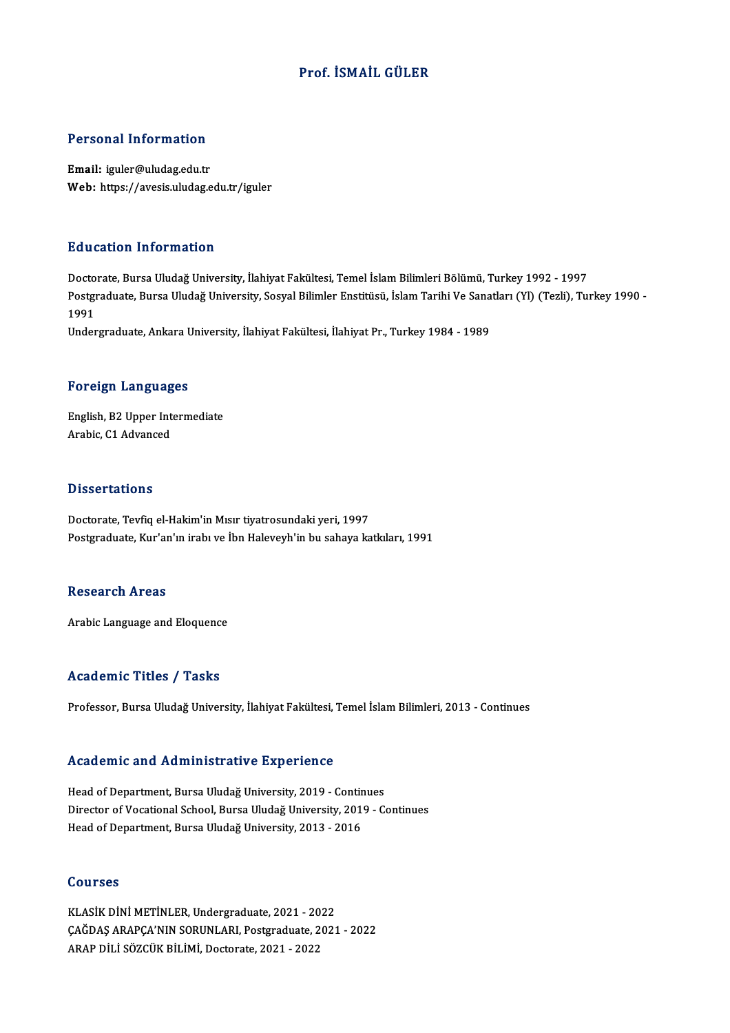# Prof. İSMAİL GÜLER

# Personal Information

Email: iguler@uludag.edu.tr Web: https://avesis.uludag.edu.tr/iguler

# Education Information

Doctorate, Bursa Uludağ University, İlahiyat Fakültesi, Temel İslam Bilimleri Bölümü, Turkey 1992 - 1997 Bu u sutron Throf Inderon<br>Doctorate, Bursa Uludağ University, İlahiyat Fakültesi, Temel İslam Bilimleri Bölümü, Turkey 1992 - 1997<br>Postgraduate, Bursa Uludağ University, Sosyal Bilimler Enstitüsü, İslam Tarihi Ve Sanatları Docto<br>Postgi<br>1991<br>Under Postgraduate, Bursa Uludağ University, Sosyal Bilimler Enstitüsü, İslam Tarihi Ve Sana<br>1991<br>Undergraduate, Ankara University, İlahiyat Fakültesi, İlahiyat Pr., Turkey 1984 - 1989

Undergraduate, Ankara University, İlahiyat Fakültesi, İlahiyat Pr., Turkey 1984 - 1989<br>Foreign Languages

Foreign Languages<br>English, B2 Upper Intermediate Arabic, B2 Upper Int<br>Arabic, C1 Advanced Arabic, C1 Advanced<br>Dissertations

Doctorate, Tevfiq el-Hakim'in Mısır tiyatrosundaki yeri, 1997 Postgraduate, Kur'an'ın irabı ve İbn Haleveyh'in bu sahaya katkıları, 1991

## **Research Areas**

Arabic Language and Eloquence

## Academic Titles / Tasks

Professor, Bursa Uludağ University, İlahiyat Fakültesi, Temel İslam Bilimleri, 2013 - Continues

## Academic and Administrative Experience

Head of Department, Bursa Uludağ University, 2019 - Continues nceaechne and nammnocracive Experience<br>Head of Department, Bursa Uludağ University, 2019 - Continues<br>Director of Vocational School, Bursa Uludağ University, 2019 - Continues<br>Head of Department, Bursa Uludağ University, 201 Head of Department, Bursa Uludağ University, 2019 - Contir<br>Director of Vocational School, Bursa Uludağ University, 201<br>Head of Department, Bursa Uludağ University, 2013 - 2016 Head of Department, Bursa Uludağ University, 2013 - 2016<br>Courses

KLASİKDİNİMETİNLER,Undergraduate,2021 -2022 SSATSSS<br>KLASİK DİNİ METİNLER, Undergraduate, 2021 - 2022<br>ÇAĞDAŞ ARAPÇA'NIN SORUNLARI, Postgraduate, 2021 - 2022<br>ARAP DİLİ SÖZCÜK BU İMİ Desterate 2021 - 2022 KLASİK DİNİ METİNLER, Undergraduate, 2021 - 20<br>ÇAĞDAŞ ARAPÇA'NIN SORUNLARI, Postgraduate, 2<br>ARAP DİLİ SÖZCÜK BİLİMİ, Doctorate, 2021 - 2022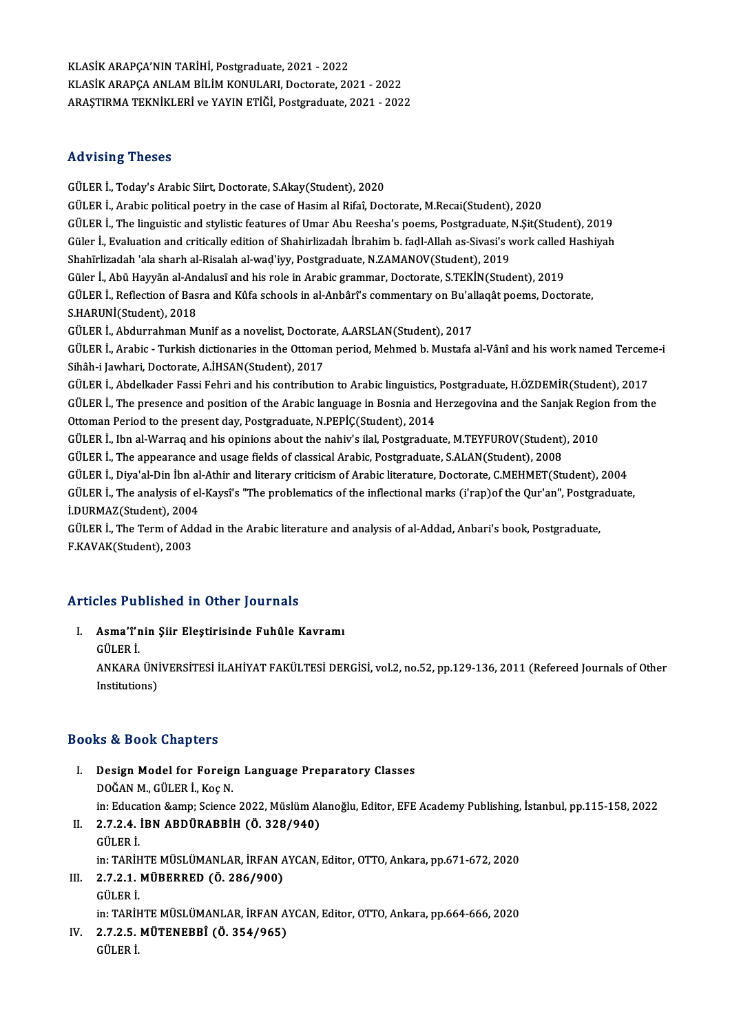KLASİKARAPÇA'NINTARİHİ,Postgraduate,2021 -2022 KLASİK ARAPÇA ANLAM BİLİM KONULARI, Doctorate, 2021 - 2022 ARAŞTIRMATEKNİKLERİ veYAYINETİĞİ,Postgraduate,2021 -2022

# Advising Theses

GÜLER İ., Today's Arabic Siirt, Doctorate, S.Akay(Student), 2020 GÜLER İ., Arabic political poetry in the case of Hasim al Rifaî, Doctorate, M.Recai(Student), 2020 GÜLER İ., The linguistic and stylistic features of Umar Abu Reesha's poems, Postgraduate, N.Sit(Student), 2019 GÜLER İ., Arabic political poetry in the case of Hasim al Rifaî, Doctorate, M.Recai(Student), 2020<br>GÜLER İ., The linguistic and stylistic features of Umar Abu Reesha's poems, Postgraduate, N.Şit(Student), 2019<br>Güler İ., Ev Shahīrlizadah 'ala sharh al-Risalah al-waḍ'iyy, Postgraduate, N.ZAMANOV(Student), 2019 Güler İ., Evaluation and critically edition of Shahirlizadah İbrahim b. fadl-Allah as-Sivasi's work called<br>Shahīrlizadah 'ala sharh al-Risalah al-waḍ'iyy, Postgraduate, N.ZAMANOV(Student), 2019<br>Güler İ., Abū Hayyān al-Anda Shahīrlizadah 'ala sharh al-Risalah al-waḍ'iyy, Postgraduate, N.ZAMANOV(Student), 2019<br>Güler İ., Abū Hayyān al-Andalusī and his role in Arabic grammar, Doctorate, S.TEKİN(Student), 2019<br>GÜLER İ., Reflection of Basra and Kû Güler İ., Abū Hayyān al-Andalusī and his role in Arabic grammar, Doctorate, S.TEKİN(Student), 2019<br>GÜLER İ., Reflection of Basra and Kûfa schools in al-Anbârî's commentary on Bu'allaqât poems, Doct<br>S.HARUNİ(Student), 2018<br> GÜLER İ., Reflection of Basra and Kûfa schools in al-Anbârî's commentary on Bu'al<br>S.HARUNİ(Student), 2018<br>GÜLER İ., Abdurrahman Munif as a novelist, Doctorate, A.ARSLAN(Student), 2017<br>CÜLER İ., Arebia, "Turkish distionarie S.HARUNİ(Student), 2018<br>GÜLER İ., Abdurrahman Munif as a novelist, Doctorate, A.ARSLAN(Student), 2017<br>GÜLER İ., Arabic - Turkish dictionaries in the Ottoman period, Mehmed b. Mustafa al-Vânî and his work named Terceme-i GÜLER İ., Abdurrahman Munif as a novelist, Doctora<br>GÜLER İ., Arabic - Turkish dictionaries in the Ottoma<br>Sihâh-i Jawhari, Doctorate, A.İHSAN(Student), 2017<br>CÜLER İ., Abdelkader Fessi Febri and bis sentributio GÜLER İ., Arabic - Turkish dictionaries in the Ottoman period, Mehmed b. Mustafa al-Vânî and his work named Tercem<br>Sihâh-i Jawhari, Doctorate, A.İHSAN(Student), 2017<br>GÜLER İ., Abdelkader Fassi Fehri and his contribution to Sihâh-i Jawhari, Doctorate, A.İHSAN(Student), 2017<br>GÜLER İ., Abdelkader Fassi Fehri and his contribution to Arabic linguistics, Postgraduate, H.ÖZDEMİR(Student), 2017<br>GÜLER İ., The presence and position of the Arabic langu GÜLER İ., Abdelkader Fassi Fehri and his contribution to Arabic linguistics,<br>GÜLER İ., The presence and position of the Arabic language in Bosnia and I<br>Ottoman Period to the present day, Postgraduate, N.PEPİÇ(Student), 201 GÜLER İ., The presence and position of the Arabic language in Bosnia and Herzegovina and the Sanjak Regio<br>Ottoman Period to the present day, Postgraduate, N.PEPİÇ(Student), 2014<br>GÜLER İ., Ibn al-Warraq and his opinions abo Ottoman Period to the present day, Postgraduate, N.PEPİÇ(Student), 2014<br>GÜLER İ., Ibn al-Warraq and his opinions about the nahiv's ilal, Postgraduate, M.TEYFUROV(Student), 2010<br>GÜLER İ., The appearance and usage fields of GÜLER İ., Ibn al-Warraq and his opinions about the nahiv's ilal, Postgraduate, M.TEYFUROV(Student), 2010<br>GÜLER İ., The appearance and usage fields of classical Arabic, Postgraduate, S.ALAN(Student), 2008<br>GÜLER İ., Diya'al-GÜLER İ., The analysis of el-Kaysî's "The problematics of the inflectional marks (i'rap)of the Qur'an", Postgraduate,<br>İ.DURMAZ(Student), 2004 GÜLER İ., Diya'al-Din İbn al<br>GÜLER İ., The analysis of el<br>İ.DURMAZ(Student), 2004<br>CÜLER İ. The Term of Addi GÜLER İ., The analysis of el-Kaysî's "The problematics of the inflectional marks (i'rap)of the Qur'an", Postgra<br>İ.DURMAZ(Student), 2004<br>GÜLER İ., The Term of Addad in the Arabic literature and analysis of al-Addad, Anbari' İ.DURMAZ(Student), 2004<br>GÜLER İ., The Term of Ade<br>F.KAVAK(Student), 2003

# F.KAVAK(Student), 2003<br>Articles Published in Other Journals

rticles Published in Other Journals<br>I. Asma'î'nin Şiir Eleştirisinde Fuhûle Kavramı<br>Cüten i Asma'î'r<br>Asma'î'r<br>GÜLER İ. Asma'î'nin Şiir Eleştirisinde Fuhûle Kavramı<br>GÜLER İ.<br>ANKARA ÜNİVERSİTESİ İLAHİYAT FAKÜLTESİ DERGİSİ, vol.2, no.52, pp.129-136, 2011 (Refereed Journals of Other GÜLER İ.<br>ANKARA ÜNİ<br>Institutions)

# Institutions)<br>Books & Book Chapters

- ooks & Book Chapters<br>I. Design Model for Foreign Language Preparatory Classes<br>DOČAN M. CÜLER İ. Kos N nd a Doon anapeers<br>Design Model for Foreig<br>DOĞAN M., GÜLER İ., Koç N.<br>in: Education Samm Science Design Model for Foreign Language Preparatory Classes<br>DOĞAN M., GÜLER İ., Koç N.<br>in: Education &amp; Science 2022, Müslüm Alanoğlu, Editor, EFE Academy Publishing, İstanbul, pp.115-158, 2022<br>2.7.2.4. İPN APDÜRAPPİH (Ö. 228 DOĞAN M., GÜLER İ., Koç N.<br>in: Education &amp; Science 2022, Müslüm Al<br>II. **2.7.2.4. İBN ABDÜRABBİH (Ö. 328/940)**<br>GÜLER İ.
- in: Educa<br>2.7.2.4<br>GÜLER İ.<br>in: TAPİL in: TARİHTE MÜSLÜMANLAR, İRFAN AYCAN, Editor, OTTO, Ankara, pp.671-672, 2020 GÜLER İ.<br>in: TARİHTE MÜSLÜMANLAR, İRFAN A<br>III. 2.7.2.1. MÜBERRED (Ö. 286/900) in: TARİH<br>2.7.2.1<br>GÜLER İ.<br>in: TARİH GÜLER İ.<br>in: TARİHTE MÜSLÜMANLAR, İRFAN AYCAN, Editor, OTTO, Ankara, pp.664-666, 2020

GÜLER İ.<br>in: TARİHTE MÜSLÜMANLAR, İRFAN A<br>IV. 2.7.2.5. MÜTENEBBÎ (Ö. 354/965)<br>CÜLER İ in: TARİI<br><mark>2.7.2.5</mark>.<br>GÜLER İ.